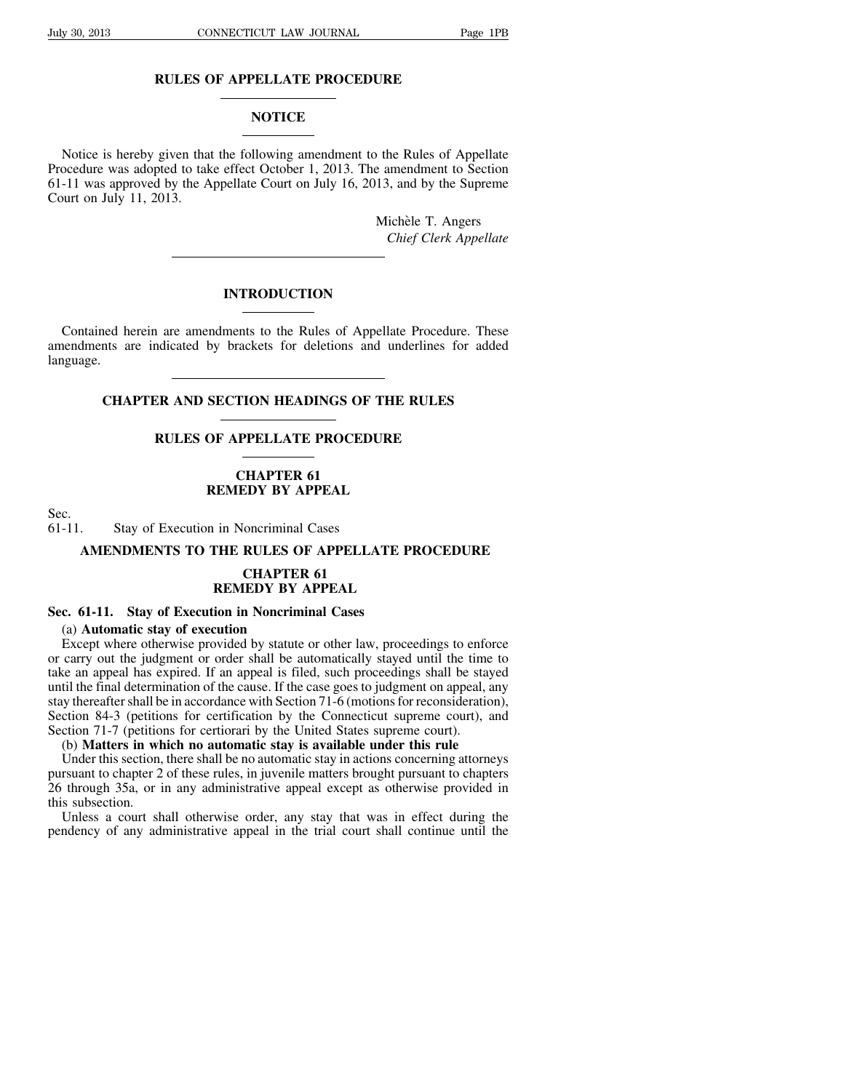# **RULES OF APPELLATE PROCEDURE**

# **NOTICE**

Notice is hereby given that the following amendment to the Rules of Appellate Procedure was adopted to take effect October 1, 2013. The amendment to Section 61-11 was approved by the Appellate Court on July 16, 2013, and by the Supreme Court on July 11, 2013.

> Michèle T. Angers *Chief Clerk Appellate*

### **INTRODUCTION**

Contained herein are amendments to the Rules of Appellate Procedure. These amendments are indicated by brackets for deletions and underlines for added language.

**CHAPTER AND SECTION HEADINGS OF THE RULES**

# **RULES OF APPELLATE PROCEDURE**

# **CHAPTER 61 REMEDY BY APPEAL**

Sec.<br>61-11 Stay of Execution in Noncriminal Cases

# **AMENDMENTS TO THE RULES OF APPELLATE PROCEDURE**

### **CHAPTER 61 REMEDY BY APPEAL**

#### **Sec. 61-11. Stay of Execution in Noncriminal Cases**

# (a) **Automatic stay of execution**

Except where otherwise provided by statute or other law, proceedings to enforce or carry out the judgment or order shall be automatically stayed until the time to take an appeal has expired. If an appeal is filed, such proceedings shall be stayed until the final determination of the cause. If the case goes to judgment on appeal, any stay thereafter shall be in accordance with Section 71-6 (motions for reconsideration), Section 84-3 (petitions for certification by the Connecticut supreme court), and Section 71-7 (petitions for certiorari by the United States supreme court).

# (b) **Matters in which no automatic stay is available under this rule**

Under this section, there shall be no automatic stay in actions concerning attorneys pursuant to chapter 2 of these rules, in juvenile matters brought pursuant to chapters 26 through 35a, or in any administrative appeal except as otherwise provided in this subsection.

Unless a court shall otherwise order, any stay that was in effect during the pendency of any administrative appeal in the trial court shall continue until the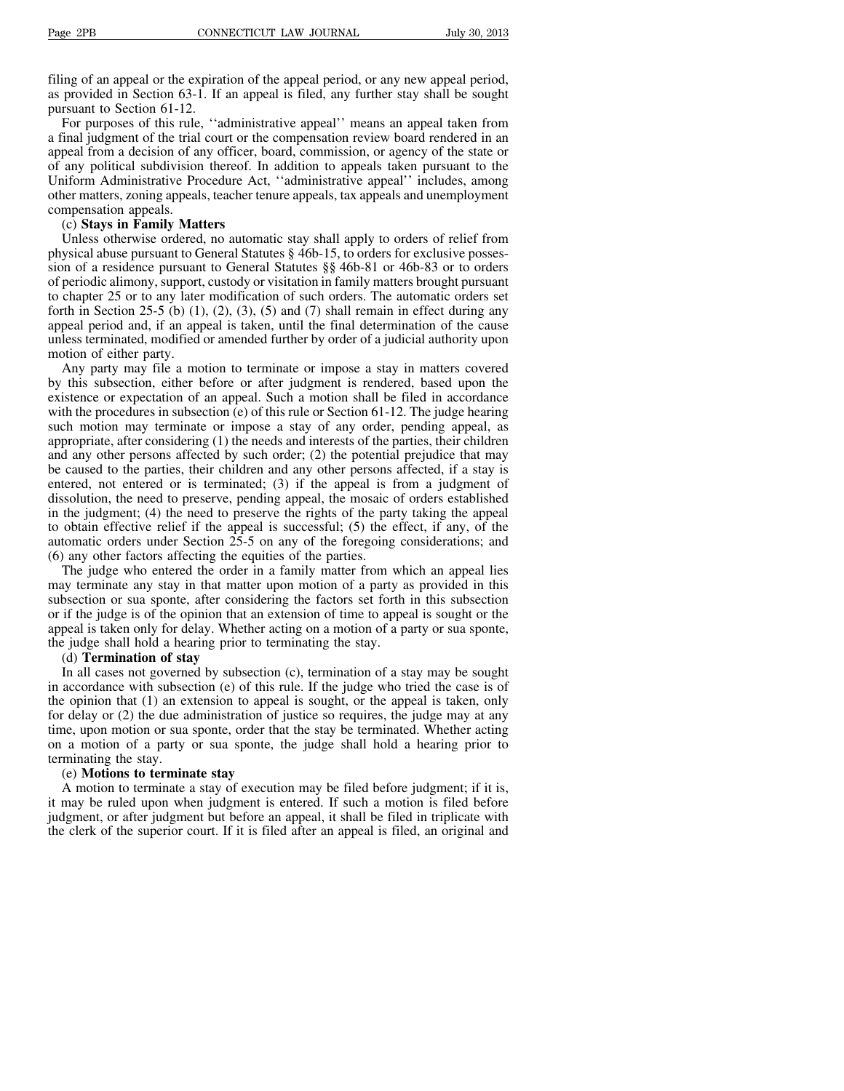filing of an appeal or the expiration of the appeal period, or any new appeal period, as provided in Section 63-1. If an appeal is filed, any further stay shall be sought pursuant to Section 61-12.

For purposes of this rule, ''administrative appeal'' means an appeal taken from a final judgment of the trial court or the compensation review board rendered in an appeal from a decision of any officer, board, commission, or agency of the state or of any political subdivision thereof. In addition to appeals taken pursuant to the Uniform Administrative Procedure Act, ''administrative appeal'' includes, among other matters, zoning appeals, teacher tenure appeals, tax appeals and unemployment compensation appeals.

#### (c) **Stays in Family Matters**

Unless otherwise ordered, no automatic stay shall apply to orders of relief from physical abuse pursuant to General Statutes § 46b-15, to orders for exclusive possession of a residence pursuant to General Statutes §§ 46b-81 or 46b-83 or to orders of periodic alimony, support, custody or visitation in family matters brought pursuant to chapter 25 or to any later modification of such orders. The automatic orders set forth in Section 25-5 (b)  $(1)$ ,  $(2)$ ,  $(3)$ ,  $(5)$  and  $(7)$  shall remain in effect during any appeal period and, if an appeal is taken, until the final determination of the cause unless terminated, modified or amended further by order of a judicial authority upon motion of either party.

Any party may file a motion to terminate or impose a stay in matters covered by this subsection, either before or after judgment is rendered, based upon the existence or expectation of an appeal. Such a motion shall be filed in accordance with the procedures in subsection (e) of this rule or Section 61-12. The judge hearing such motion may terminate or impose a stay of any order, pending appeal, as appropriate, after considering (1) the needs and interests of the parties, their children and any other persons affected by such order; (2) the potential prejudice that may be caused to the parties, their children and any other persons affected, if a stay is entered, not entered or is terminated; (3) if the appeal is from a judgment of dissolution, the need to preserve, pending appeal, the mosaic of orders established in the judgment; (4) the need to preserve the rights of the party taking the appeal to obtain effective relief if the appeal is successful; (5) the effect, if any, of the automatic orders under Section 25-5 on any of the foregoing considerations; and (6) any other factors affecting the equities of the parties.

The judge who entered the order in a family matter from which an appeal lies may terminate any stay in that matter upon motion of a party as provided in this subsection or sua sponte, after considering the factors set forth in this subsection or if the judge is of the opinion that an extension of time to appeal is sought or the appeal is taken only for delay. Whether acting on a motion of a party or sua sponte, the judge shall hold a hearing prior to terminating the stay.

#### (d) **Termination of stay**

In all cases not governed by subsection (c), termination of a stay may be sought in accordance with subsection (e) of this rule. If the judge who tried the case is of the opinion that (1) an extension to appeal is sought, or the appeal is taken, only for delay or (2) the due administration of justice so requires, the judge may at any time, upon motion or sua sponte, order that the stay be terminated. Whether acting on a motion of a party or sua sponte, the judge shall hold a hearing prior to terminating the stay.

#### (e) **Motions to terminate stay**

A motion to terminate a stay of execution may be filed before judgment; if it is, it may be ruled upon when judgment is entered. If such a motion is filed before judgment, or after judgment but before an appeal, it shall be filed in triplicate with the clerk of the superior court. If it is filed after an appeal is filed, an original and